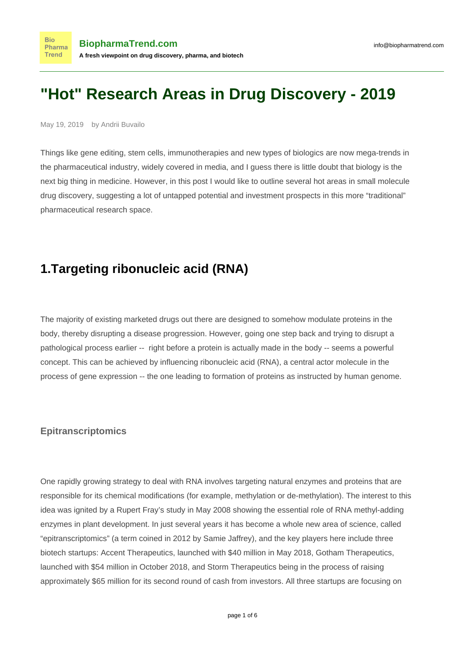# **"Hot" Research Areas in Drug Discovery - 2019**

May 19, 2019 by Andrii Buvailo

**Bio** 

Things like gene editing, stem cells, immunotherapies and new types of biologics are now mega-trends in the pharmaceutical industry, widely covered in media, and I guess there is little doubt that biology is the next big thing in medicine. However, in this post I would like to outline several hot areas in small molecule drug discovery, suggesting a lot of untapped potential and investment prospects in this more "traditional" pharmaceutical research space.

#### **1.Targeting ribonucleic acid (RNA)**

The majority of existing marketed drugs out there are designed to somehow modulate proteins in the body, thereby disrupting a disease progression. However, going one step back and trying to disrupt a pathological process earlier -- right before a protein is actually made in the body -- seems a powerful concept. This can be achieved by influencing ribonucleic acid (RNA), a central actor molecule in the process of gene expression -- the one leading to formation of proteins as instructed by human genome.

#### **Epitranscriptomics**

One rapidly growing strategy to deal with RNA involves targeting natural enzymes and proteins that are responsible for its chemical modifications (for example, methylation or de-methylation). The interest to this idea was ignited by a Rupert Fray's [study](https://www.ncbi.nlm.nih.gov/pmc/articles/PMC2438467/) in May 2008 showing the essential role of RNA methyl-adding enzymes in plant development. In just several years it has become a whole new area of science, called "epitranscriptomics" (a term coined in 2012 by Samie Jaffrey), and the key players here include three biotech startups: Accent Therapeutics, launched with \$40 million in May 2018, Gotham Therapeutics, launched with \$54 million in October 2018, and Storm Therapeutics being in the process of raising approximately \$65 million for its second round of cash from investors. All three startups are focusing on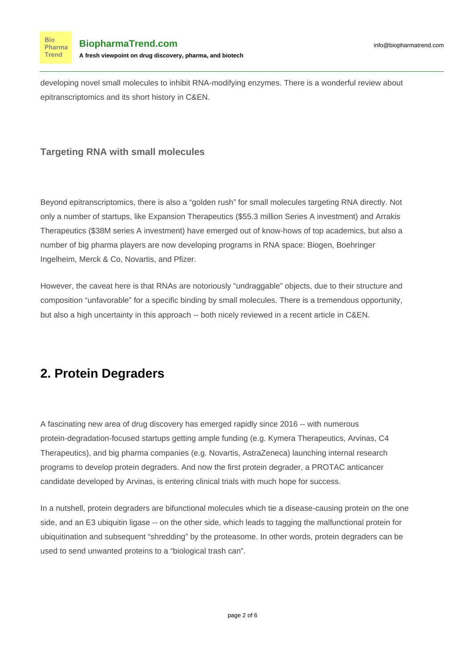developing novel small molecules to inhibit RNA-modifying enzymes. There is a [wonderful review](https://cen.acs.org/business/start-ups/Epitranscriptomics-new-RNA-code-race/97/i7) about epitranscriptomics and its short history in C&EN.

#### **Targeting RNA with small molecules**

**Bio** Pharma **Trend** 

Beyond epitranscriptomics, there is also a "golden rush" for small molecules targeting RNA directly. Not only a number of startups, like Expansion Therapeutics (\$55.3 million Series A investment) and Arrakis Therapeutics (\$38M series A investment) have emerged out of know-hows of top academics, but also a number of big pharma players are now developing programs in RNA space: Biogen, Boehringer Ingelheim, Merck & Co, Novartis, and Pfizer.

However, the caveat here is that RNAs are notoriously "undraggable" objects, due to their structure and composition "unfavorable" for a specific binding by small molecules. There is a tremendous opportunity, but also a high uncertainty in this approach -- both nicely reviewed in a [recent article](https://cen.acs.org/articles/95/i47/RNA-drug-hunters.html) in C&EN.

### **2. Protein Degraders**

A fascinating new area of drug discovery has emerged rapidly since 2016 -- with numerous protein-degradation-focused startups getting ample funding (e.g. Kymera Therapeutics, Arvinas, C4 Therapeutics), and big pharma companies (e.g. Novartis, AstraZeneca) launching internal research programs to develop protein degraders. And now the first protein degrader, a PROTAC anticancer candidate developed by Arvinas, is [entering clinical trials](https://www.nature.com/articles/d41573-019-00043-6) with much hope for success.

In a nutshell, protein degraders are bifunctional molecules which tie a disease-causing protein on the one side, and an E3 ubiquitin ligase -- on the other side, which leads to tagging the malfunctional protein for ubiquitination and subsequent "shredding" by the proteasome. In other words, protein degraders can be used to send unwanted proteins to a "biological trash can".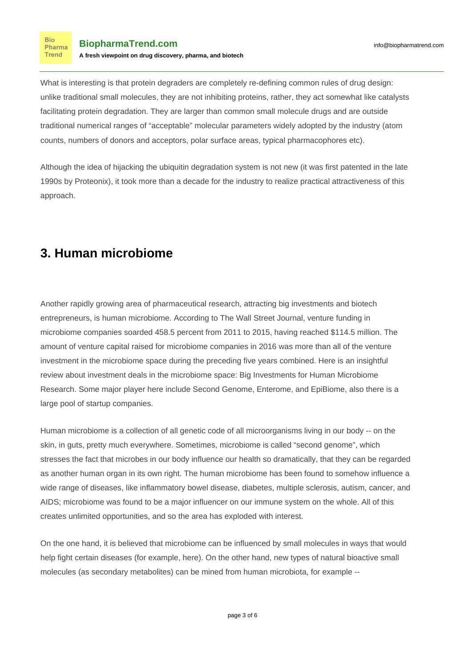What is interesting is that protein degraders are completely re-defining common rules of drug design: unlike traditional small molecules, they are not inhibiting proteins, rather, they act somewhat like catalysts facilitating protein degradation. They are larger than common small molecule drugs and are outside traditional numerical ranges of "acceptable" molecular parameters widely adopted by the industry (atom counts, numbers of donors and acceptors, polar surface areas, typical pharmacophores etc).

Although the idea of hijacking the ubiquitin degradation system is not new (it was first patented in the late 1990s by Proteonix), it took more than a decade for the industry to realize practical attractiveness of this approach.

### **3. Human microbiome**

**Bio** Pharma Trend

Another rapidly growing area of pharmaceutical research, attracting big investments and biotech entrepreneurs, is human microbiome. According to [The Wall Street Journal](https://www.wsj.com/articles/microbiome-companies-attract-big-investments-1474250460), venture funding in microbiome companies soarded 458.5 percent from 2011 to 2015, having reached \$114.5 million. The amount of venture capital raised for microbiome companies in 2016 was more than all of the venture investment in the microbiome space during the preceding five years combined. Here is an insightful review about investment deals in the microbiome space: [Big Investments for Human Microbiome](https://www.biopharmatrend.com/post/91-big-investments-for-human-microbiome-research/) [Research.](https://www.biopharmatrend.com/post/91-big-investments-for-human-microbiome-research/) Some major player here include Second Genome, Enterome, and EpiBiome, also there is a large pool of [startup companies.](https://www.biopharmatrend.com/m/intelligence-platform/)

Human microbiome is a collection of all genetic code of all microorganisms living in our body -- on the skin, in guts, pretty much everywhere. Sometimes, microbiome is called "second genome", which stresses the fact that microbes in our body influence our health so dramatically, that they can be regarded as [another human organ](https://ep.bmj.com/content/102/5/257) in its own right. The human microbiome has been found to somehow influence a wide range of diseases, like inflammatory bowel disease, diabetes, multiple sclerosis, autism, cancer, and AIDS; microbiome was found to be a major influencer on our immune system on the whole. All of this creates unlimited opportunities, and so the area has exploded with interest.

On the one hand, it is believed that microbiome can be influenced by small molecules in ways that would help fight certain diseases (for example, [here\)](https://cen.acs.org/biological-chemistry/microbiome/Small-molecule-help-modulate-microbiome/96/web/2018/05). On the other hand, [new types of natural bioactive small](https://www.cell.com/cell-host-microbe/pdf/S1931-3128(18)30267-1.pdf)  [molecules](https://www.cell.com/cell-host-microbe/pdf/S1931-3128(18)30267-1.pdf) (as secondary metabolites) can be mined from human microbiota, for example --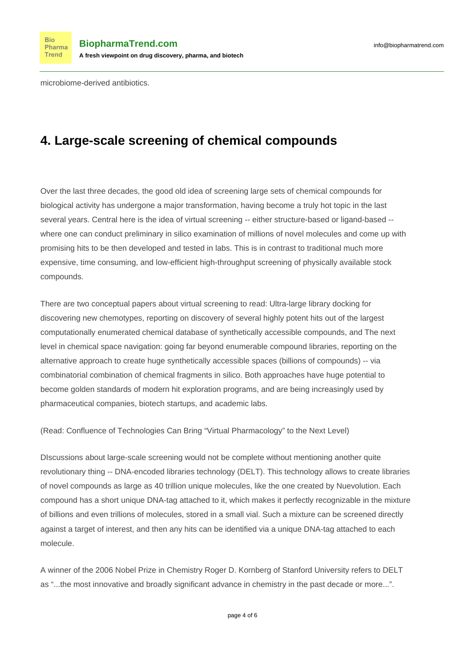[microbiome-derived antibiotics.](https://www.biopharmatrend.com/post/23-learning-from-nature-new-antibiotics-found-in-our-body/)

**Bio** 

# **4. Large-scale screening of chemical compounds**

Over the last three decades, the good old idea of screening large sets of chemical compounds for biological activity has undergone a major transformation, having become a truly hot topic in the last several years. Central here is the idea of virtual screening -- either structure-based or ligand-based - where one can conduct preliminary in silico examination of millions of novel molecules and come up with promising hits to be then developed and tested in labs. This is in contrast to traditional much more expensive, time consuming, and low-efficient high-throughput screening of physically available stock compounds.

There are two conceptual papers about virtual screening to read: [Ultra-large library docking for](https://www.nature.com/articles/s41586-019-0917-9) [discovering new chemotypes](https://www.nature.com/articles/s41586-019-0917-9), reporting on discovery of several highly potent hits out of the largest computationally enumerated chemical database of synthetically accessible compounds, and [The next](https://www.sciencedirect.com/science/article/pii/S1359644618304471) [level in chemical space navigation: going far beyond enumerable compound libraries](https://www.sciencedirect.com/science/article/pii/S1359644618304471), reporting on the alternative approach to create huge synthetically accessible spaces (billions of compounds) -- via combinatorial combination of chemical fragments in silico. Both approaches have huge potential to become golden standards of modern hit exploration programs, and are being increasingly used by pharmaceutical companies, biotech startups, and academic labs.

(Read: [Confluence of Technologies Can Bring "Virtual Pharmacology" to the Next Level](https://www.biopharmatrend.com/post/82-confluence-of-technologies-can-bring-virtual-pharmacology-to-the-next-level/))

DIscussions about large-scale screening would not be complete without mentioning another quite revolutionary thing -- DNA-encoded libraries technology (DELT). This technology allows to create libraries of novel compounds as large as 40 trillion unique molecules, like the one created by [Nuevolution](https://nuevolution.com/). Each compound has a short unique DNA-tag attached to it, which makes it perfectly recognizable in the mixture of billions and even trillions of molecules, stored in a small vial. Such a mixture can be screened directly against a target of interest, and then any hits can be identified via a unique DNA-tag attached to each molecule.

A winner of the 2006 Nobel Prize in Chemistry [Roger D. Kornberg](http://kornberg.stanford.edu/) of Stanford University refers to DELT as "...the most innovative and broadly significant advance in chemistry in the past decade or more...".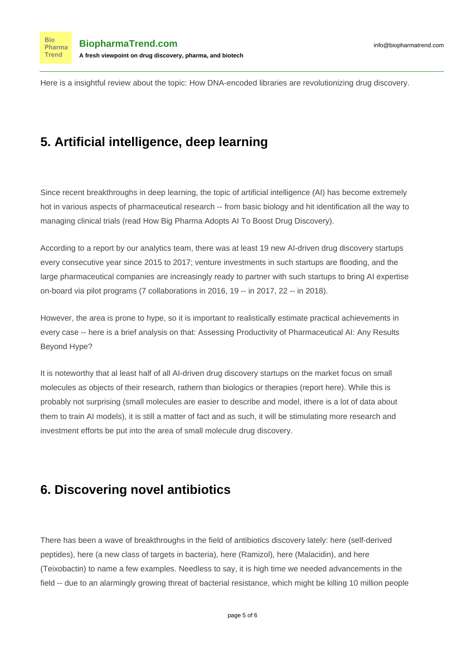**Bio** 

Here is a insightful review about the topic: [How DNA-encoded libraries are revolutionizing drug discovery.](https://cen.acs.org/articles/95/i25/DNA-encoded-libraries-revolutionizing-drug.html)

# **5. Artificial intelligence, deep learning**

Since recent breakthroughs in deep learning, the topic of artificial intelligence (AI) has become extremely hot in various aspects of pharmaceutical research -- from basic biology and hit identification all the way to managing clinical trials (read [How Big Pharma Adopts AI To Boost Drug Discovery\)](https://www.biopharmatrend.com/post/34-biopharmas-hunt-for-artificial-intelligence-who-does-what/).

According to a [report](https://www.biopharmatrend.com/m/charts/) by our analytics team, there was at least 19 new AI-driven drug discovery startups every consecutive year since 2015 to 2017; venture investments in such startups are flooding, and the large pharmaceutical companies are increasingly ready to partner with such startups to bring AI expertise on-board via pilot programs (7 collaborations in 2016, 19 -- in 2017, 22 -- in 2018).

However, the area is prone to hype, so it is important to realistically estimate practical achievements in every case -- here is a brief analysis on that: [Assessing Productivity of Pharmaceutical AI: Any Results](https://www.biopharmatrend.com/post/86-assessing-ai-in-pharma-productivity-any-results-so-far/) [Beyond Hype?](https://www.biopharmatrend.com/post/86-assessing-ai-in-pharma-productivity-any-results-so-far/)

It is noteworthy that al least half of all AI-driven drug discovery startups on the market focus on small molecules as objects of their research, rathern than biologics or therapies (report [here\)](https://www.biopharmatrend.com/m/charts/). While this is probably not surprising (small molecules are easier to describe and model, ithere is a lot of data about them to train AI models), it is still a matter of fact and as such, it will be stimulating more research and investment efforts be put into the area of small molecule drug discovery.

# **6. Discovering novel antibiotics**

There has been a wave of breakthroughs in the field of antibiotics discovery lately: [here](https://medicalxpress.com/news/2018-09-hints-potential-antibiotic-breakthrough.html) (self-derived peptides), [here](http://www.uea.ac.uk/about/media-room/press-release-archive/-/asset_publisher/a2jEGMiFHPhv/content/uea-researchers-discover-achilles-heel-in-antibiotic-resistant-bacteria) (a new class of targets in bacteria), [here](https://www.news-medical.net/news/20190118/New-antibiotic-discovery-heralds-breakthrough-in-the-fight-against-drug-resistant-bacteria.aspx) (Ramizol), [here](https://www.independent.co.uk/news/health/antibiotic-soil-new-discovery-malacidins-teixobactin-nature-rockefeller-new-york-mrsa-gram-positive-a8207921.html) (Malacidin), and [here](https://www.biopharmatrend.com/post/22-the-time-for-breakthroughs-in-antibiotics/) (Teixobactin) to name a few examples. Needless to say, it is high time we needed advancements in the field -- due to an alarmingly growing [threat of bacterial resistance,](https://www.ncbi.nlm.nih.gov/pmc/articles/PMC4378521/) which might be killing [10 million people](https://www.nytimes.com/2019/04/29/health/un-drug-resistance-antibiotics.html)